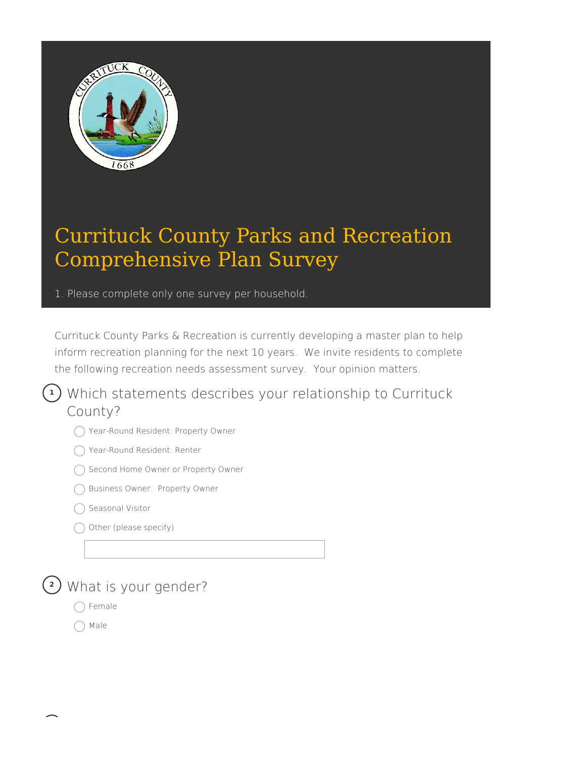

1. Please complete only one survey per household.

Currituck County Parks & Recreation is currently developing a master plan to help inform recreation planning for the next 10 years. We invite residents to complete the following recreation needs assessment survey. Your opinion matters.

Which statements describes your relationship to Currituck **1** County?

- Year-Round Resident: Property Owner
- ◯ Year-Round Resident: Renter
- ◯ Second Home Owner or Property Owner
- Business Owner: Property Owner
- Seasonal Visitor
- Other (please specify)



- Female
- Male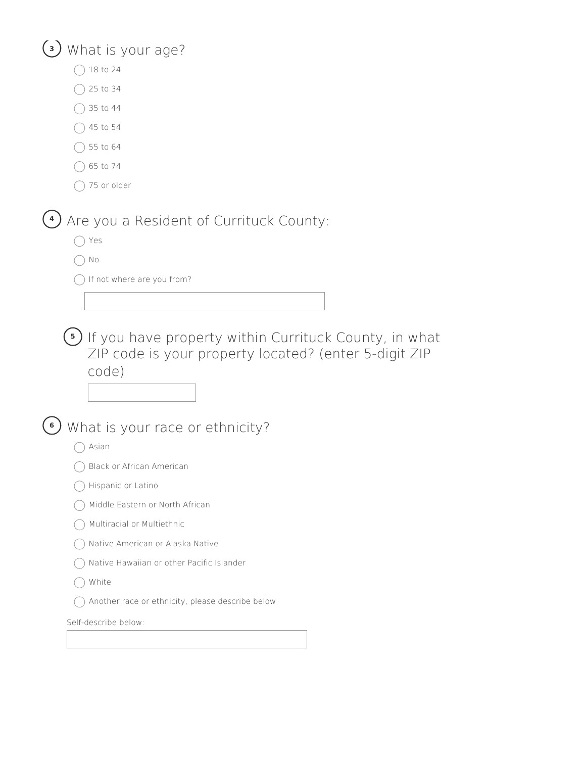#### **<sup>3</sup>** What is your age?

- $\bigcap$  18 to 24
- $\bigcirc$  25 to 34
- $)$  35 to 44
- $\bigcirc$  45 to 54
- $\bigcap$  55 to 64
- $\bigcap$  65 to 74
- $\bigcap$  75 or older

Are you a Resident of Currituck County: **4**

- ◯ Yes
- $\bigcap$  No
- $\bigcap$  If not where are you from?

**5)** If you have property within Currituck County, in what ZIP code is your property located? (enter 5-digit ZIP code)

What is your race or ethnicity? **6**

- $\bigcap$  Asian
- Black or African American
- Hispanic or Latino
- Middle Eastern or North African
- Multiracial or Multiethnic
- ◯ Native American or Alaska Native
- Native Hawaiian or other Pacific Islander
- ◯ White
- $\bigcap$  Another race or ethnicity, please describe below

| Self-describe below: |  |
|----------------------|--|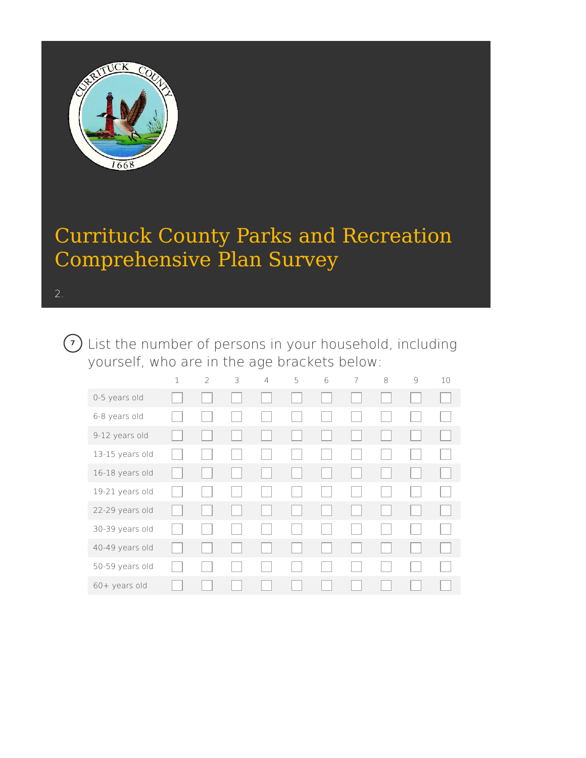

List the number of persons in your household, including **7**yourself, who are in the age brackets below:

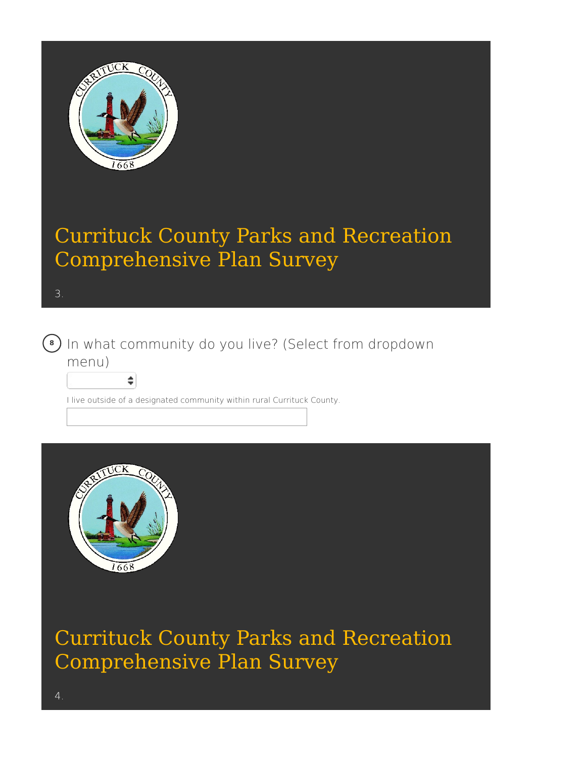

3.



In what community do you live? (Select from dropdown **8** menu)

I live outside of a designated community within rural Currituck County.



÷

Currituck County Parks and Recreation Comprehensive Plan Survey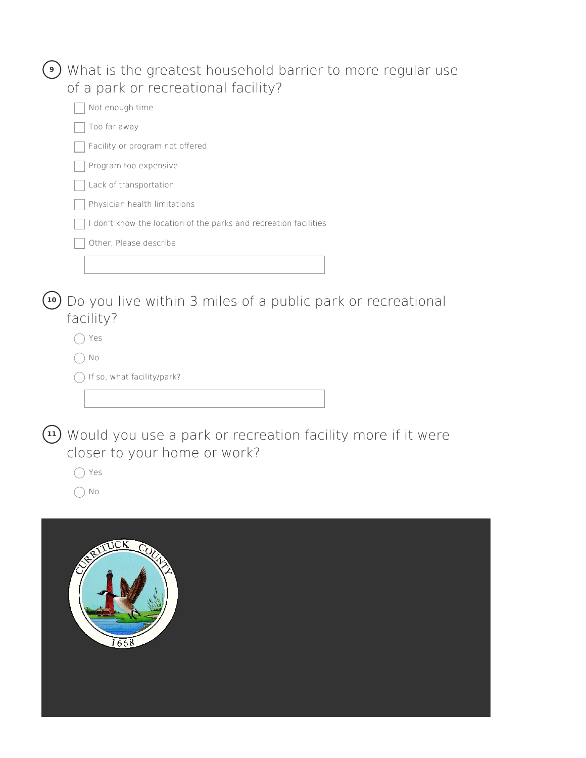|              | What is the greatest household barrier to more regular use                                               |
|--------------|----------------------------------------------------------------------------------------------------------|
|              | of a park or recreational facility?                                                                      |
|              | Not enough time                                                                                          |
|              | Too far away                                                                                             |
|              | Facility or program not offered                                                                          |
|              | Program too expensive                                                                                    |
|              | Lack of transportation                                                                                   |
|              | Physician health limitations                                                                             |
|              | I don't know the location of the parks and recreation facilities                                         |
|              | Other, Please describe:                                                                                  |
|              |                                                                                                          |
|              |                                                                                                          |
| 10           | Do you live within 3 miles of a public park or recreational                                              |
|              | facility?                                                                                                |
|              | Yes                                                                                                      |
|              | No                                                                                                       |
|              | If so, what facility/park?                                                                               |
|              |                                                                                                          |
|              |                                                                                                          |
| $ 11\rangle$ | Would you use a park or recreation facility more if it were<br>closer to your home or work?<br>Yes<br>No |
|              |                                                                                                          |

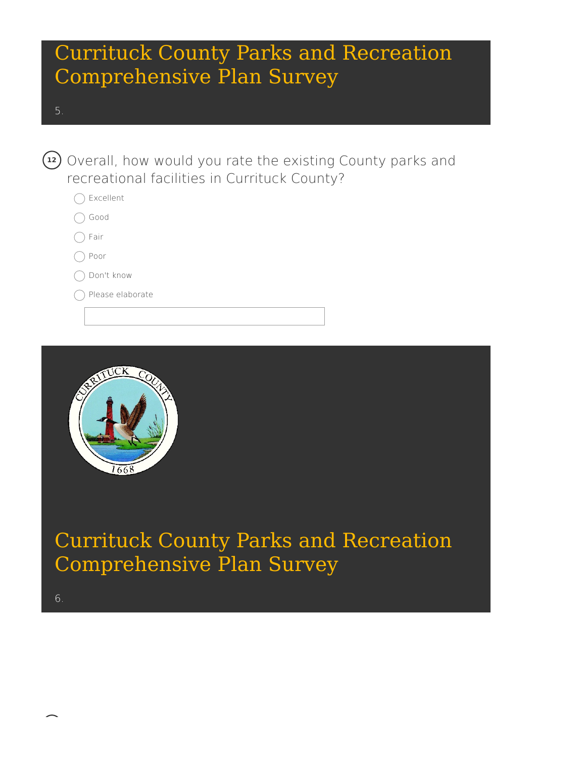- 5.
- Overall, how would you rate the existing County parks and **12** recreational facilities in Currituck County?
	- Excellent
	- ◯ Good
	- $\bigcap$  Fair
	- ◯ Poor
	- ◯ Don't know
	- Please elaborate



Currituck County Parks and Recreation Comprehensive Plan Survey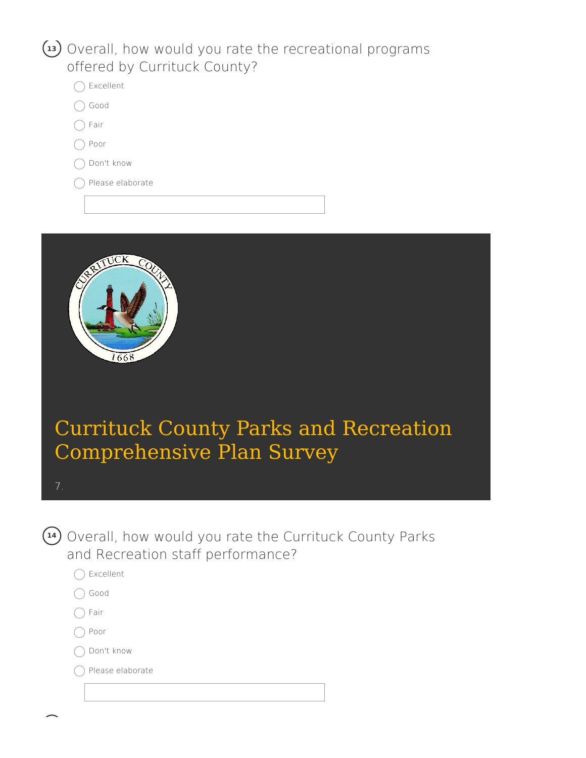#### Overall, how would you rate the recreational programs **13** offered by Currituck County?



- ◯ Good
- $\bigcap$  Fair
- ◯ Poor
- ◯ Don't know
- Please elaborate



# Currituck County Parks and Recreation Comprehensive Plan Survey



Overall, how would you rate the Currituck County Parks **14** and Recreation staff performance?

- ◯ Excellent
- ◯ Good
- $\bigcap$  Fair
- ∩ Poor
- ◯ Don't know

◯ Please elaborate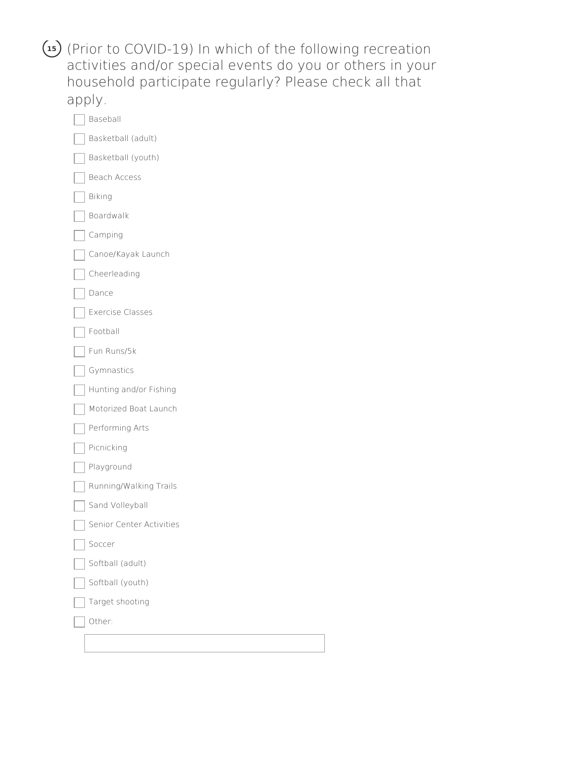(Prior to COVID-19) In which of the following recreation **15** activities and/or special events do you or others in your household participate regularly? Please check all that apply.

| Baseball                 |
|--------------------------|
| Basketball (adult)       |
| Basketball (youth)       |
| Beach Access             |
| Biking                   |
| Boardwalk                |
| Camping                  |
| Canoe/Kayak Launch       |
| Cheerleading             |
| Dance                    |
| <b>Exercise Classes</b>  |
| Football                 |
| Fun Runs/5k              |
| Gymnastics               |
| Hunting and/or Fishing   |
| Motorized Boat Launch    |
| Performing Arts          |
| Picnicking               |
| Playground               |
| Running/Walking Trails   |
| Sand Volleyball          |
| Senior Center Activities |
| Soccer                   |
| Softball (adult)         |
| Softball (youth)         |
| Target shooting          |
| Other:                   |
|                          |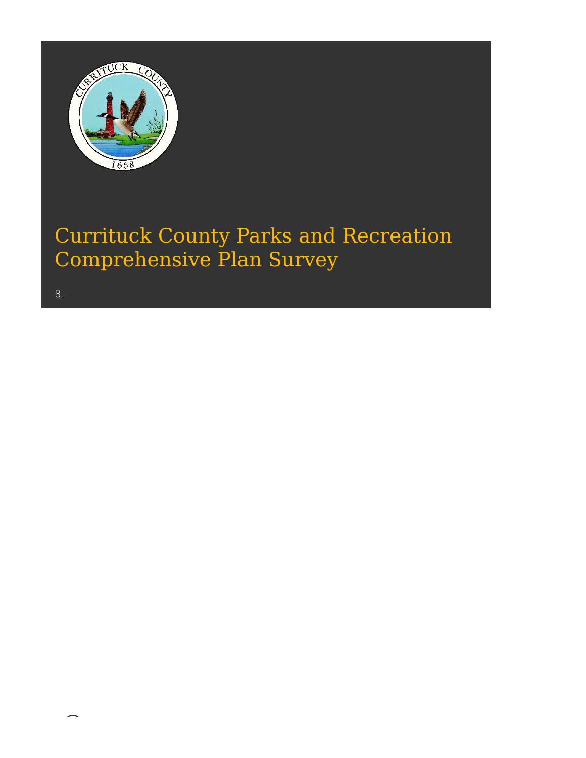

8.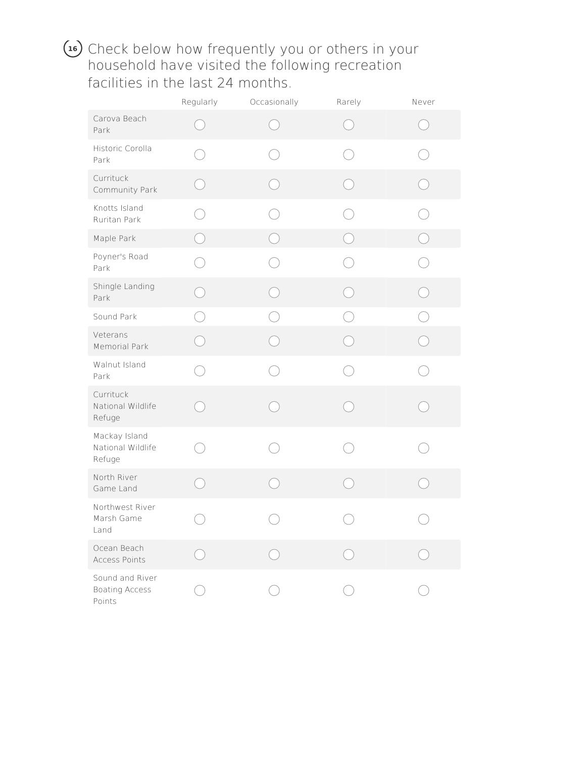#### Check below how frequently you or others in your **16**household have visited the following recreation facilities in the last 24 months.

|                                                    | Regularly | Occasionally | Rarely | Never |
|----------------------------------------------------|-----------|--------------|--------|-------|
| Carova Beach<br>Park                               |           |              |        |       |
| Historic Corolla<br>Park                           |           |              |        |       |
| Currituck<br>Community Park                        |           |              |        |       |
| Knotts Island<br>Ruritan Park                      |           | n.           |        |       |
| Maple Park                                         |           |              |        |       |
| Poyner's Road<br>Park                              |           |              |        |       |
| Shingle Landing<br>Park                            |           | Ć.           |        |       |
| Sound Park                                         |           |              |        |       |
| Veterans<br>Memorial Park                          |           |              |        |       |
| Walnut Island<br>Park                              |           |              |        |       |
| Currituck<br>National Wildlife<br>Refuge           |           |              |        |       |
| Mackay Island<br>National Wildlife<br>Refuge       |           |              |        |       |
| North River<br>Game Land                           |           |              |        |       |
| Northwest River<br>Marsh Game<br>Land              |           |              |        |       |
| Ocean Beach<br>Access Points                       |           |              |        |       |
| Sound and River<br><b>Boating Access</b><br>Points |           |              |        |       |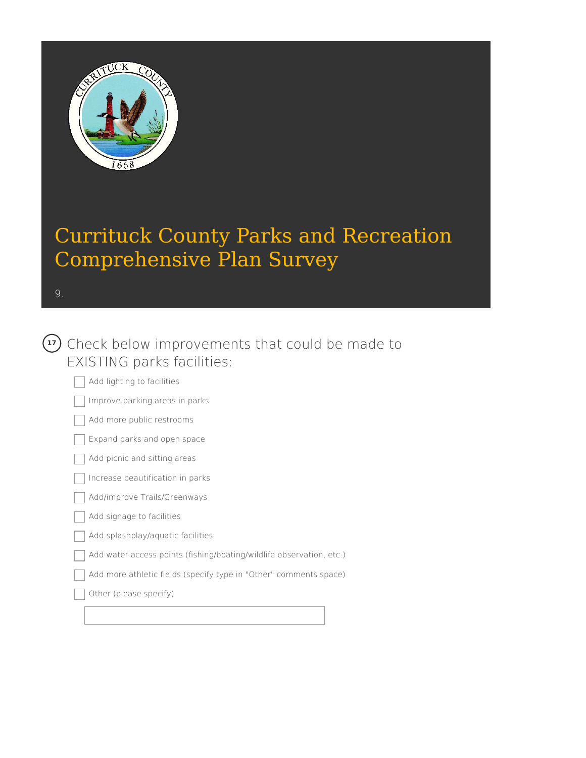

9.

### Check below improvements that could be made to **17** EXISTING parks facilities:

Add lighting to facilities Improve parking areas in parks Add more public restrooms

Expand parks and open space

Add picnic and sitting areas

Increase beautification in parks

Add/improve Trails/Greenways

Add signage to facilities

Add splashplay/aquatic facilities

Add water access points (fishing/boating/wildlife observation, etc.)

Add more athletic fields (specify type in "Other" comments space)

Other (please specify)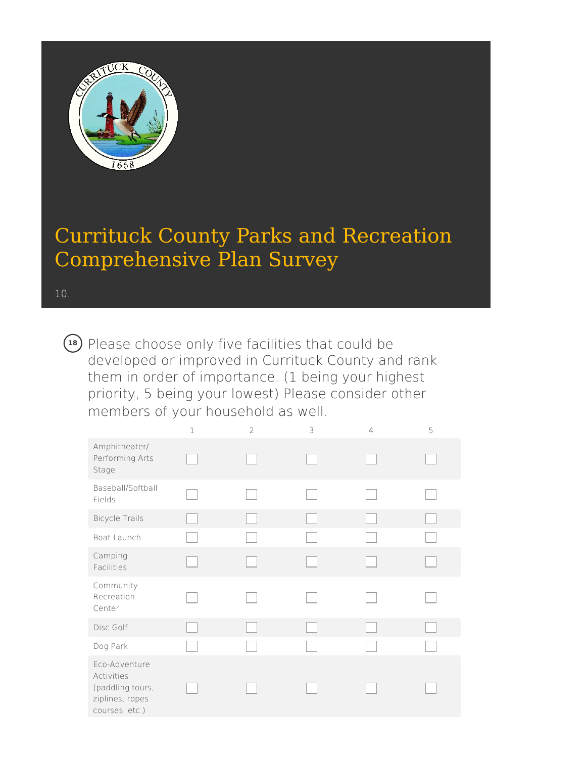

10.

Please choose only five facilities that could be **18**developed or improved in Currituck County and rank them in order of importance. (1 being your highest priority, 5 being your lowest) Please consider other members of your household as well.

|                                                                                      | $\mathbf 1$ | $\overline{2}$ | 3 | 4 | 5 |
|--------------------------------------------------------------------------------------|-------------|----------------|---|---|---|
| Amphitheater/<br>Performing Arts<br>Stage                                            |             |                |   |   |   |
| Baseball/Softball<br>Fields                                                          |             |                |   |   |   |
| <b>Bicycle Trails</b>                                                                |             |                |   |   |   |
| Boat Launch                                                                          |             |                |   |   |   |
| Camping<br>Facilities                                                                |             |                |   |   |   |
| Community<br>Recreation<br>Center                                                    |             |                |   |   |   |
| Disc Golf                                                                            |             |                |   |   |   |
| Dog Park                                                                             |             |                |   |   |   |
| Eco-Adventure<br>Activities<br>(paddling tours,<br>ziplines, ropes<br>courses, etc.) |             |                |   |   |   |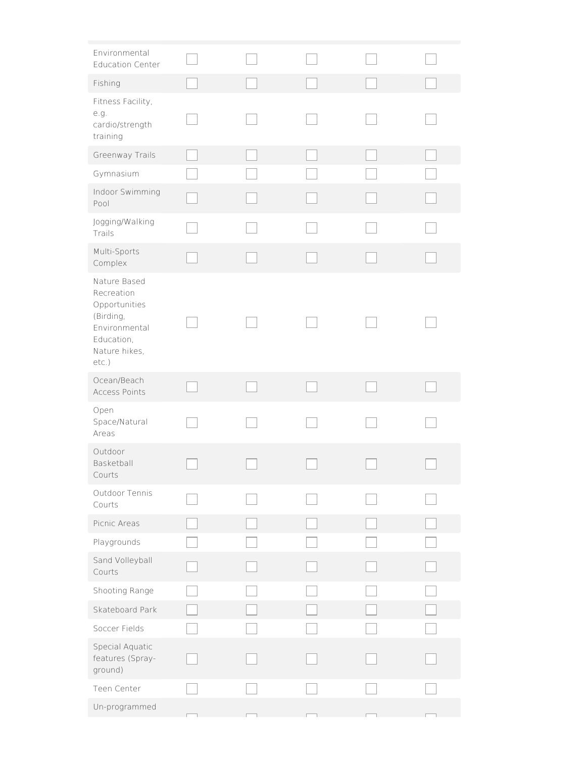| Environmental<br><b>Education Center</b>                                                                          |  |  |  |
|-------------------------------------------------------------------------------------------------------------------|--|--|--|
| Fishing                                                                                                           |  |  |  |
| Fitness Facility,<br>e.g.<br>cardio/strength<br>training                                                          |  |  |  |
| Greenway Trails                                                                                                   |  |  |  |
| Gymnasium                                                                                                         |  |  |  |
| Indoor Swimming<br>Pool                                                                                           |  |  |  |
| Jogging/Walking<br>Trails                                                                                         |  |  |  |
| Multi-Sports<br>Complex                                                                                           |  |  |  |
| Nature Based<br>Recreation<br>Opportunities<br>(Birding,<br>Environmental<br>Education,<br>Nature hikes,<br>etc.) |  |  |  |
| Ocean/Beach<br>Access Points                                                                                      |  |  |  |
| Open<br>Space/Natural<br>Areas                                                                                    |  |  |  |
| Outdoor<br>Basketball<br>Courts                                                                                   |  |  |  |
| Outdoor Tennis<br>Courts                                                                                          |  |  |  |
| Picnic Areas                                                                                                      |  |  |  |
| Playgrounds                                                                                                       |  |  |  |
| Sand Volleyball<br>Courts                                                                                         |  |  |  |
| Shooting Range                                                                                                    |  |  |  |
| Skateboard Park                                                                                                   |  |  |  |
| Soccer Fields                                                                                                     |  |  |  |
| Special Aquatic<br>features (Spray-<br>ground)                                                                    |  |  |  |
| Teen Center                                                                                                       |  |  |  |
| Un-programmed                                                                                                     |  |  |  |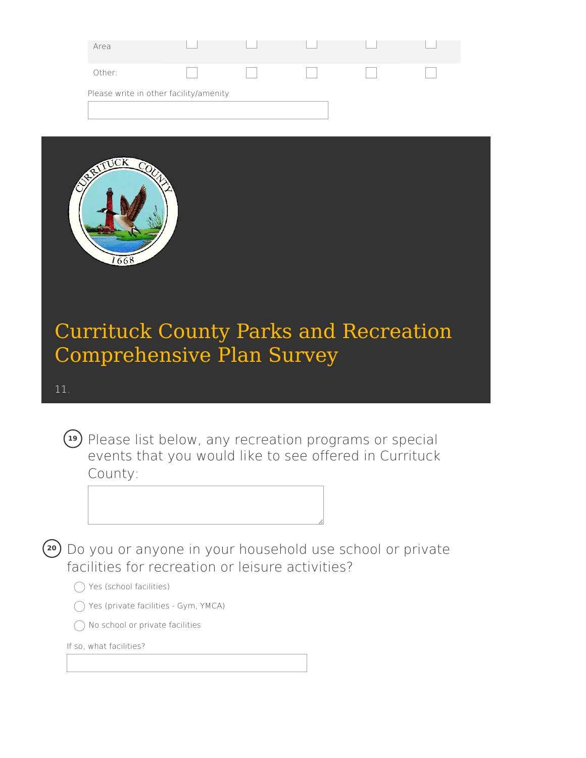| Area                                   |  |  |  |
|----------------------------------------|--|--|--|
| Other:                                 |  |  |  |
| Please write in other facility/amenity |  |  |  |
|                                        |  |  |  |



#### 11.

Please list below, any recreation programs or special **19** events that you would like to see offered in Currituck County:



#### $\bigcap$  Yes (school facilities)

- Yes (private facilities Gym, YMCA)
- No school or private facilities

If so, what facilities?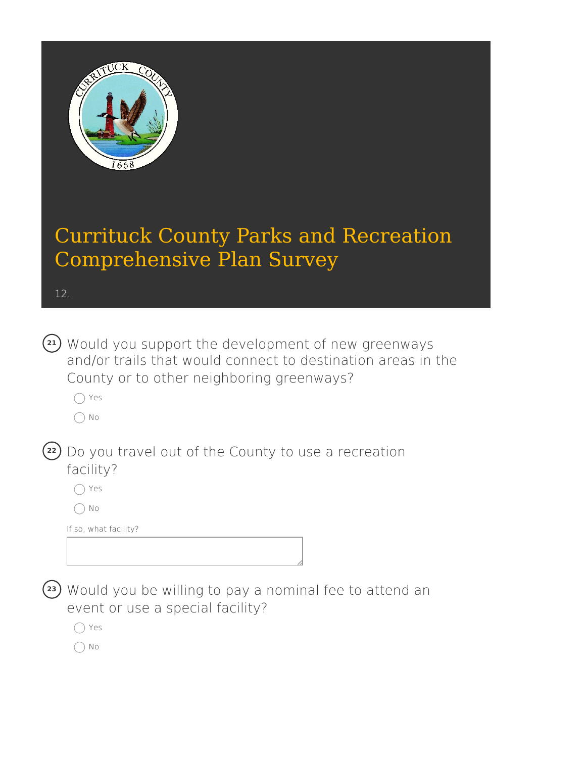

12.

| (21) Would you support the development of new greenways      |
|--------------------------------------------------------------|
| and/or trails that would connect to destination areas in the |
| County or to other neighboring greenways?                    |

Yes

 $\bigcap$  No

| (22) Do you travel out of the County to use a recreation |
|----------------------------------------------------------|
| facility?                                                |

Yes

 $\bigcirc$  No

If so, what facility?

Would you be willing to pay a nominal fee to attend an **23** event or use a special facility?

Yes

 $\bigcirc$  No